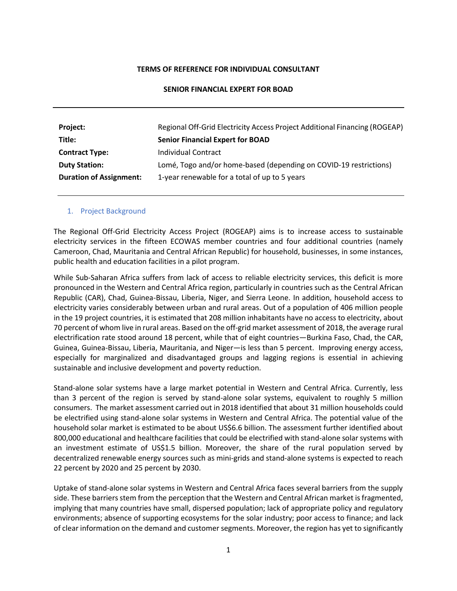#### **TERMS OF REFERENCE FOR INDIVIDUAL CONSULTANT**

#### **SENIOR FINANCIAL EXPERT FOR BOAD**

| Project:                       | Regional Off-Grid Electricity Access Project Additional Financing (ROGEAP) |
|--------------------------------|----------------------------------------------------------------------------|
| Title:                         | <b>Senior Financial Expert for BOAD</b>                                    |
| <b>Contract Type:</b>          | Individual Contract                                                        |
| <b>Duty Station:</b>           | Lomé, Togo and/or home-based (depending on COVID-19 restrictions)          |
| <b>Duration of Assignment:</b> | 1-year renewable for a total of up to 5 years                              |

#### 1. Project Background

The Regional Off-Grid Electricity Access Project (ROGEAP) aims is to increase access to sustainable electricity services in the fifteen ECOWAS member countries and four additional countries (namely Cameroon, Chad, Mauritania and Central African Republic) for household, businesses, in some instances, public health and education facilities in a pilot program.

While Sub-Saharan Africa suffers from lack of access to reliable electricity services, this deficit is more pronounced in the Western and Central Africa region, particularly in countries such as the Central African Republic (CAR), Chad, Guinea-Bissau, Liberia, Niger, and Sierra Leone. In addition, household access to electricity varies considerably between urban and rural areas. Out of a population of 406 million people in the 19 project countries, it is estimated that 208 million inhabitants have no access to electricity, about 70 percent of whom live in rural areas. Based on the off-grid market assessment of 2018, the average rural electrification rate stood around 18 percent, while that of eight countries—Burkina Faso, Chad, the CAR, Guinea, Guinea-Bissau, Liberia, Mauritania, and Niger—is less than 5 percent. Improving energy access, especially for marginalized and disadvantaged groups and lagging regions is essential in achieving sustainable and inclusive development and poverty reduction.

Stand-alone solar systems have a large market potential in Western and Central Africa. Currently, less than 3 percent of the region is served by stand-alone solar systems, equivalent to roughly 5 million consumers. The market assessment carried out in 2018 identified that about 31 million households could be electrified using stand-alone solar systems in Western and Central Africa. The potential value of the household solar market is estimated to be about US\$6.6 billion. The assessment further identified about 800,000 educational and healthcare facilities that could be electrified with stand-alone solar systems with an investment estimate of US\$1.5 billion. Moreover, the share of the rural population served by decentralized renewable energy sources such as mini-grids and stand-alone systems is expected to reach 22 percent by 2020 and 25 percent by 2030.

Uptake of stand-alone solar systems in Western and Central Africa faces several barriers from the supply side. These barriers stem from the perception that the Western and Central African market is fragmented, implying that many countries have small, dispersed population; lack of appropriate policy and regulatory environments; absence of supporting ecosystems for the solar industry; poor access to finance; and lack of clear information on the demand and customer segments. Moreover, the region has yet to significantly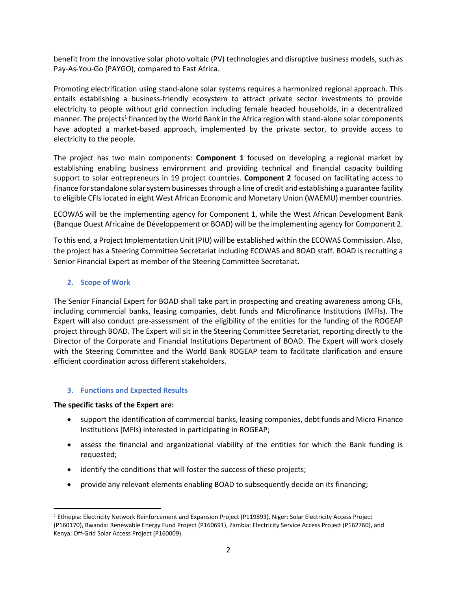benefit from the innovative solar photo voltaic (PV) technologies and disruptive business models, such as Pay-As-You-Go (PAYGO), compared to East Africa.

Promoting electrification using stand-alone solar systems requires a harmonized regional approach. This entails establishing a business-friendly ecosystem to attract private sector investments to provide electricity to people without grid connection including female headed households, in a decentralized manner. The projects<sup>1</sup> financed by the World Bank in the Africa region with stand-alone solar components have adopted a market-based approach, implemented by the private sector, to provide access to electricity to the people.

The project has two main components: **Component 1** focused on developing a regional market by establishing enabling business environment and providing technical and financial capacity building support to solar entrepreneurs in 19 project countries. **Component 2** focused on facilitating access to finance for standalone solar system businesses through a line of credit and establishing a guarantee facility to eligible CFIs located in eight West African Economic and Monetary Union (WAEMU) member countries.

ECOWAS will be the implementing agency for Component 1, while the West African Development Bank (Banque Ouest Africaine de Développement or BOAD) will be the implementing agency for Component 2.

To this end, a Project Implementation Unit (PIU) will be established within the ECOWAS Commission. Also, the project has a Steering Committee Secretariat including ECOWAS and BOAD staff. BOAD is recruiting a Senior Financial Expert as member of the Steering Committee Secretariat.

# **2. Scope of Work**

The Senior Financial Expert for BOAD shall take part in prospecting and creating awareness among CFIs, including commercial banks, leasing companies, debt funds and Microfinance Institutions (MFIs). The Expert will also conduct pre-assessment of the eligibility of the entities for the funding of the ROGEAP project through BOAD. The Expert will sit in the Steering Committee Secretariat, reporting directly to the Director of the Corporate and Financial Institutions Department of BOAD. The Expert will work closely with the Steering Committee and the World Bank ROGEAP team to facilitate clarification and ensure efficient coordination across different stakeholders.

## **3. Functions and Expected Results**

## **The specific tasks of the Expert are:**

- support the identification of commercial banks, leasing companies, debt funds and Micro Finance Institutions (MFIs) interested in participating in ROGEAP;
- assess the financial and organizational viability of the entities for which the Bank funding is requested;
- identify the conditions that will foster the success of these projects;
- provide any relevant elements enabling BOAD to subsequently decide on its financing;

<sup>1</sup> Ethiopia: Electricity Network Reinforcement and Expansion Project (P119893), Niger: Solar Electricity Access Project (P160170), Rwanda: Renewable Energy Fund Project (P160691), Zambia: Electricity Service Access Project (P162760), and Kenya: Off-Grid Solar Access Project (P160009).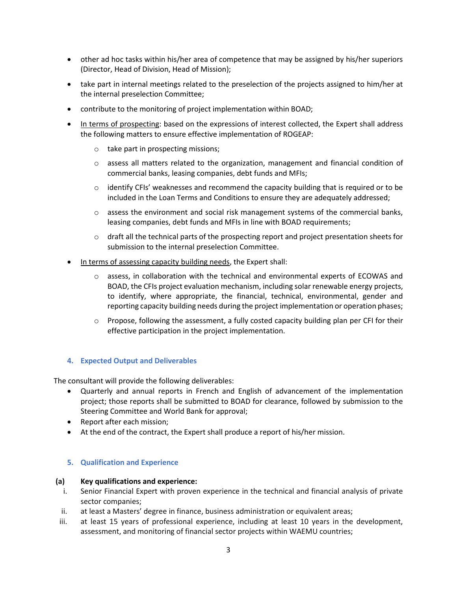- other ad hoc tasks within his/her area of competence that may be assigned by his/her superiors (Director, Head of Division, Head of Mission);
- take part in internal meetings related to the preselection of the projects assigned to him/her at the internal preselection Committee;
- contribute to the monitoring of project implementation within BOAD;
- In terms of prospecting: based on the expressions of interest collected, the Expert shall address the following matters to ensure effective implementation of ROGEAP:
	- o take part in prospecting missions;
	- $\circ$  assess all matters related to the organization, management and financial condition of commercial banks, leasing companies, debt funds and MFIs;
	- $\circ$  identify CFIs' weaknesses and recommend the capacity building that is required or to be included in the Loan Terms and Conditions to ensure they are adequately addressed;
	- $\circ$  assess the environment and social risk management systems of the commercial banks, leasing companies, debt funds and MFIs in line with BOAD requirements;
	- $\circ$  draft all the technical parts of the prospecting report and project presentation sheets for submission to the internal preselection Committee.
- In terms of assessing capacity building needs, the Expert shall:
	- $\circ$  assess, in collaboration with the technical and environmental experts of ECOWAS and BOAD, the CFIs project evaluation mechanism, including solar renewable energy projects, to identify, where appropriate, the financial, technical, environmental, gender and reporting capacity building needs during the project implementation or operation phases;
	- $\circ$  Propose, following the assessment, a fully costed capacity building plan per CFI for their effective participation in the project implementation.

## **4. Expected Output and Deliverables**

The consultant will provide the following deliverables:

- Quarterly and annual reports in French and English of advancement of the implementation project; those reports shall be submitted to BOAD for clearance, followed by submission to the Steering Committee and World Bank for approval;
- Report after each mission;
- At the end of the contract, the Expert shall produce a report of his/her mission.

## **5. Qualification and Experience**

## **(a) Key qualifications and experience:**

- i. Senior Financial Expert with proven experience in the technical and financial analysis of private sector companies;
- ii. at least a Masters' degree in finance, business administration or equivalent areas;
- iii. at least 15 years of professional experience, including at least 10 years in the development, assessment, and monitoring of financial sector projects within WAEMU countries;